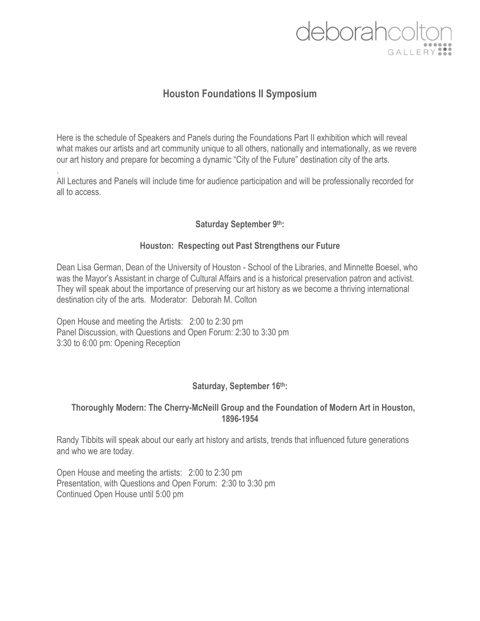# deborahcolt

# **Houston Foundations II Symposium**

Here is the schedule of Speakers and Panels during the Foundations Part II exhibition which will reveal what makes our artists and art community unique to all others, nationally and internationally, as we revere our art history and prepare for becoming a dynamic "City of the Future" destination city of the arts.

. All Lectures and Panels will include time for audience participation and will be professionally recorded for all to access.

# **Saturday September 9th:**

# **Houston: Respecting out Past Strengthens our Future**

Dean Lisa German, Dean of the University of Houston - School of the Libraries, and Minnette Boesel, who was the Mayor's Assistant in charge of Cultural Affairs and is a historical preservation patron and activist. They will speak about the importance of preserving our art history as we become a thriving international destination city of the arts. Moderator: Deborah M. Colton

Open House and meeting the Artists: 2:00 to 2:30 pm Panel Discussion, with Questions and Open Forum: 2:30 to 3:30 pm 3:30 to 6:00 pm: Opening Reception

# **Saturday, September 16th:**

#### **Thoroughly Modern: The Cherry-McNeill Group and the Foundation of Modern Art in Houston, 1896-1954**

Randy Tibbits will speak about our early art history and artists, trends that influenced future generations and who we are today.

Open House and meeting the artists: 2:00 to 2:30 pm Presentation, with Questions and Open Forum: 2:30 to 3:30 pm Continued Open House until 5:00 pm